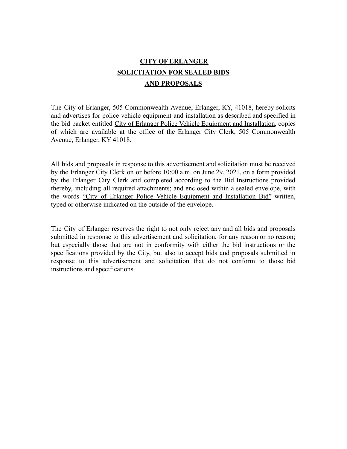# **CITY OF ERLANGER SOLICITATION FOR SEALED BIDS AND PROPOSALS**

The City of Erlanger, 505 Commonwealth Avenue, Erlanger, KY, 41018, hereby solicits and advertises for police vehicle equipment and installation as described and specified in the bid packet entitled City of Erlanger Police Vehicle Equipment and Installation, copies of which are available at the office of the Erlanger City Clerk, 505 Commonwealth Avenue, Erlanger, KY 41018.

All bids and proposals in response to this advertisement and solicitation must be received by the Erlanger City Clerk on or before 10:00 a.m. on June 29, 2021, on a form provided by the Erlanger City Clerk and completed according to the Bid Instructions provided thereby, including all required attachments; and enclosed within a sealed envelope, with the words "City of Erlanger Police Vehicle Equipment and Installation Bid" written, typed or otherwise indicated on the outside of the envelope.

The City of Erlanger reserves the right to not only reject any and all bids and proposals submitted in response to this advertisement and solicitation, for any reason or no reason; but especially those that are not in conformity with either the bid instructions or the specifications provided by the City, but also to accept bids and proposals submitted in response to this advertisement and solicitation that do not conform to those bid instructions and specifications.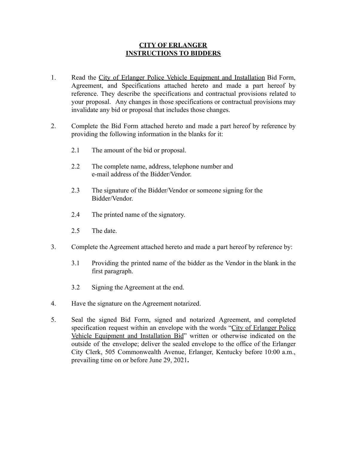### **CITY OF ERLANGER INSTRUCTIONS TO BIDDERS**

- 1. Read the City of Erlanger Police Vehicle Equipment and Installation Bid Form, Agreement, and Specifications attached hereto and made a part hereof by reference. They describe the specifications and contractual provisions related to your proposal. Any changes in those specifications or contractual provisions may invalidate any bid or proposal that includes those changes.
- 2. Complete the Bid Form attached hereto and made a part hereof by reference by providing the following information in the blanks for it:
	- 2.1 The amount of the bid or proposal.
	- 2.2 The complete name, address, telephone number and e-mail address of the Bidder/Vendor.
	- 2.3 The signature of the Bidder/Vendor or someone signing for the Bidder/Vendor.
	- 2.4 The printed name of the signatory.
	- 2.5 The date.
- 3. Complete the Agreement attached hereto and made a part hereof by reference by:
	- 3.1 Providing the printed name of the bidder as the Vendor in the blank in the first paragraph.
	- 3.2 Signing the Agreement at the end.
- 4. Have the signature on the Agreement notarized.
- 5. Seal the signed Bid Form, signed and notarized Agreement, and completed specification request within an envelope with the words "City of Erlanger Police Vehicle Equipment and Installation Bid" written or otherwise indicated on the outside of the envelope; deliver the sealed envelope to the office of the Erlanger City Clerk, 505 Commonwealth Avenue, Erlanger, Kentucky before 10:00 a.m., prevailing time on or before June 29, 2021**.**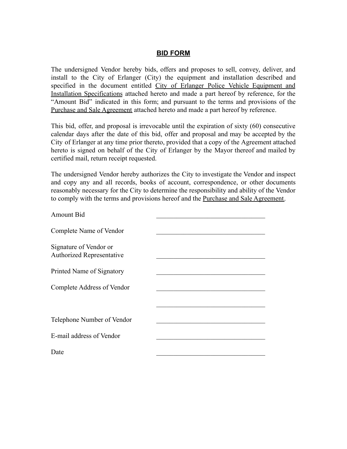#### **BID FORM**

The undersigned Vendor hereby bids, offers and proposes to sell, convey, deliver, and install to the City of Erlanger (City) the equipment and installation described and specified in the document entitled City of Erlanger Police Vehicle Equipment and Installation Specifications attached hereto and made a part hereof by reference, for the "Amount Bid" indicated in this form; and pursuant to the terms and provisions of the Purchase and Sale Agreement attached hereto and made a part hereof by reference.

This bid, offer, and proposal is irrevocable until the expiration of sixty (60) consecutive calendar days after the date of this bid, offer and proposal and may be accepted by the City of Erlanger at any time prior thereto, provided that a copy of the Agreement attached hereto is signed on behalf of the City of Erlanger by the Mayor thereof and mailed by certified mail, return receipt requested.

The undersigned Vendor hereby authorizes the City to investigate the Vendor and inspect and copy any and all records, books of account, correspondence, or other documents reasonably necessary for the City to determine the responsibility and ability of the Vendor to comply with the terms and provisions hereof and the Purchase and Sale Agreement.

| Amount Bid                                                 |  |
|------------------------------------------------------------|--|
| Complete Name of Vendor                                    |  |
| Signature of Vendor or<br><b>Authorized Representative</b> |  |
| Printed Name of Signatory                                  |  |
| Complete Address of Vendor                                 |  |
|                                                            |  |
| Telephone Number of Vendor                                 |  |
| E-mail address of Vendor                                   |  |
| Date                                                       |  |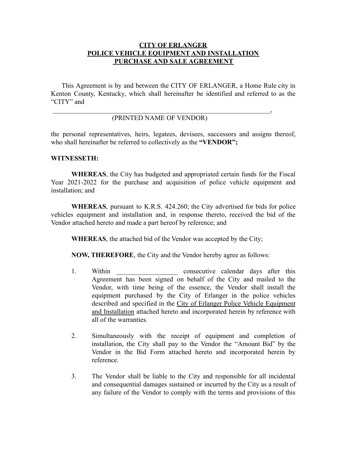### **CITY OF ERLANGER POLICE VEHICLE EQUIPMENT AND INSTALLATION PURCHASE AND SALE AGREEMENT**

This Agreement is by and between the CITY OF ERLANGER, a Home Rule city in Kenton County, Kentucky, which shall hereinafter be identified and referred to as the "CITY" and

#### $\overline{\phantom{a}}$ (PRINTED NAME OF VENDOR)

the personal representatives, heirs, legatees, devisees, successors and assigns thereof, who shall hereinafter be referred to collectively as the **"VENDOR";**

#### **WITNESSETH:**

**WHEREAS**, the City has budgeted and appropriated certain funds for the Fiscal Year 2021-2022 for the purchase and acquisition of police vehicle equipment and installation; and

**WHEREAS**, pursuant to K.R.S. 424.260; the City advertised for bids for police vehicles equipment and installation and, in response thereto, received the bid of the Vendor attached hereto and made a part hereof by reference; and

**WHEREAS**, the attached bid of the Vendor was accepted by the City;

**NOW, THEREFORE**, the City and the Vendor hereby agree as follows:

- 1. Within consecutive calendar days after this Agreement has been signed on behalf of the City and mailed to the Vendor, with time being of the essence, the Vendor shall install the equipment purchased by the City of Erlanger in the police vehicles described and specified in the City of Erlanger Police Vehicle Equipment and Installation attached hereto and incorporated herein by reference with all of the warranties.
- 2. Simultaneously with the receipt of equipment and completion of installation, the City shall pay to the Vendor the "Amount Bid" by the Vendor in the Bid Form attached hereto and incorporated herein by reference.
- 3. The Vendor shall be liable to the City and responsible for all incidental and consequential damages sustained or incurred by the City as a result of any failure of the Vendor to comply with the terms and provisions of this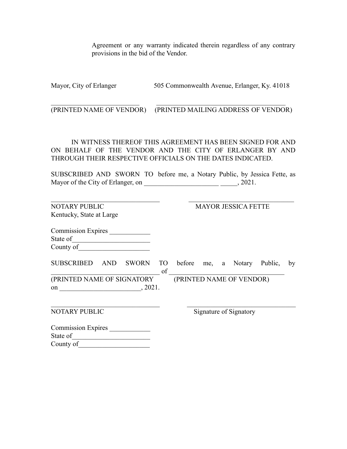Agreement or any warranty indicated therein regardless of any contrary provisions in the bid of the Vendor.

Mayor, City of Erlanger 505 Commonwealth Avenue, Erlanger, Ky. 41018

 $\mathcal{L}_\text{max} = \frac{1}{2} \sum_{i=1}^n \mathcal{L}_\text{max}(\mathbf{z}_i - \mathbf{z}_i)$ (PRINTED NAME OF VENDOR) (PRINTED MAILING ADDRESS OF VENDOR)

IN WITNESS THEREOF THIS AGREEMENT HAS BEEN SIGNED FOR AND ON BEHALF OF THE VENDOR AND THE CITY OF ERLANGER BY AND THROUGH THEIR RESPECTIVE OFFICIALS ON THE DATES INDICATED.

SUBSCRIBED AND SWORN TO before me, a Notary Public, by Jessica Fette, as Mayor of the City of Erlanger, on \_\_\_\_\_\_\_\_\_\_\_\_\_\_\_\_\_\_\_\_\_\_ \_\_\_\_\_, 2021.

| <b>NOTARY PUBLIC</b>              | <b>MAYOR JESSICA FETTE</b> |  |                        |  |                          |         |    |
|-----------------------------------|----------------------------|--|------------------------|--|--------------------------|---------|----|
| Kentucky, State at Large          |                            |  |                        |  |                          |         |    |
| <b>Commission Expires</b>         |                            |  |                        |  |                          |         |    |
| State of                          |                            |  |                        |  |                          |         |    |
| County of                         |                            |  |                        |  |                          |         |    |
| <b>SUBSCRIBED</b><br>SWORN<br>AND | TO <sub>1</sub><br>of      |  |                        |  | before me, a Notary      | Public, | by |
| (PRINTED NAME OF SIGNATORY        |                            |  |                        |  | (PRINTED NAME OF VENDOR) |         |    |
| , 2021.<br>on                     |                            |  |                        |  |                          |         |    |
| <b>NOTARY PUBLIC</b>              |                            |  | Signature of Signatory |  |                          |         |    |
| <b>Commission Expires</b>         |                            |  |                        |  |                          |         |    |
| State of                          |                            |  |                        |  |                          |         |    |
| County of                         |                            |  |                        |  |                          |         |    |